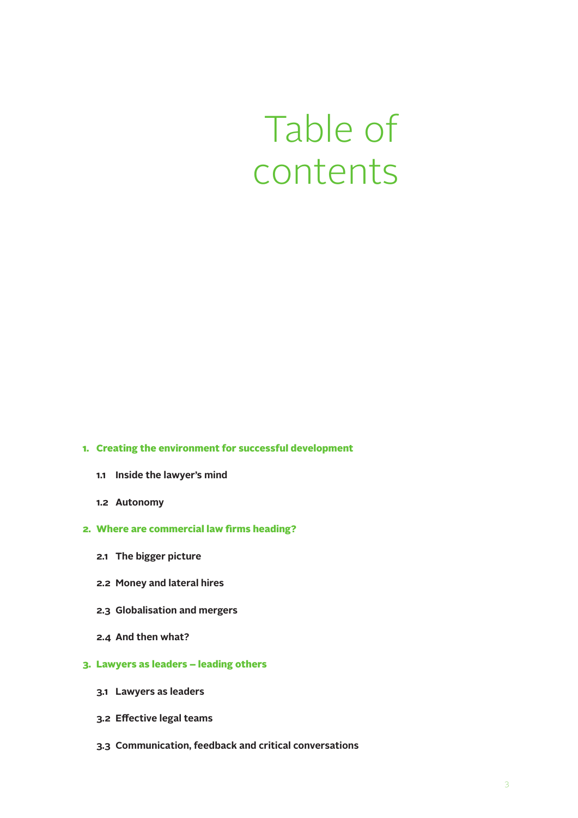## Table of contents

## **1. Creating the environment for successful development**

- **1.1 Inside the lawyer's mind**
- **1.2 Autonomy**
- **2. Where are commercial law firms heading?**
	- **2.1 The bigger picture**
	- **2.2 Money and lateral hires**
	- **2.3 Globalisation and mergers**
	- **2.4 And then what?**
- **3. Lawyers as leaders – leading others**
	- **3.1 Lawyers as leaders**
	- **3.2 Effective legal teams**
	- **3.3 Communication, feedback and critical conversations**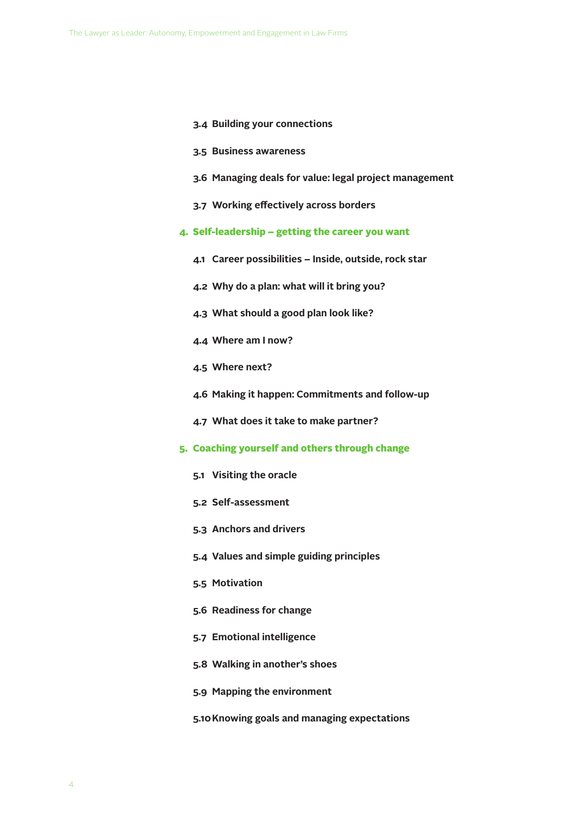- **3.4 Building your connections**
- **3.5 Business awareness**
- **3.6 Managing deals for value: legal project management**
- **3.7 Working effectively across borders**
- **4. Self-leadership – getting the career you want**
	- **4.1 Career possibilities – Inside, outside, rock star**
	- **4.2 Why do a plan: what will it bring you?**
	- **4.3 What should a good plan look like?**
	- **4.4 Where am I now?**
	- **4.5 Where next?**
	- **4.6 Making it happen: Commitments and follow-up**
	- **4.7 What does it take to make partner?**
- **5. Coaching yourself and others through change**
	- **5.1 Visiting the oracle**
	- **5.2 Self-assessment**
	- **5.3 Anchors and drivers**
	- **5.4 Values and simple guiding principles**
	- **5.5 Motivation**
	- **5.6 Readiness for change**
	- **5.7 Emotional intelligence**
	- **5.8 Walking in another's shoes**
	- **5.9 Mapping the environment**
	- **5.10Knowing goals and managing expectations**